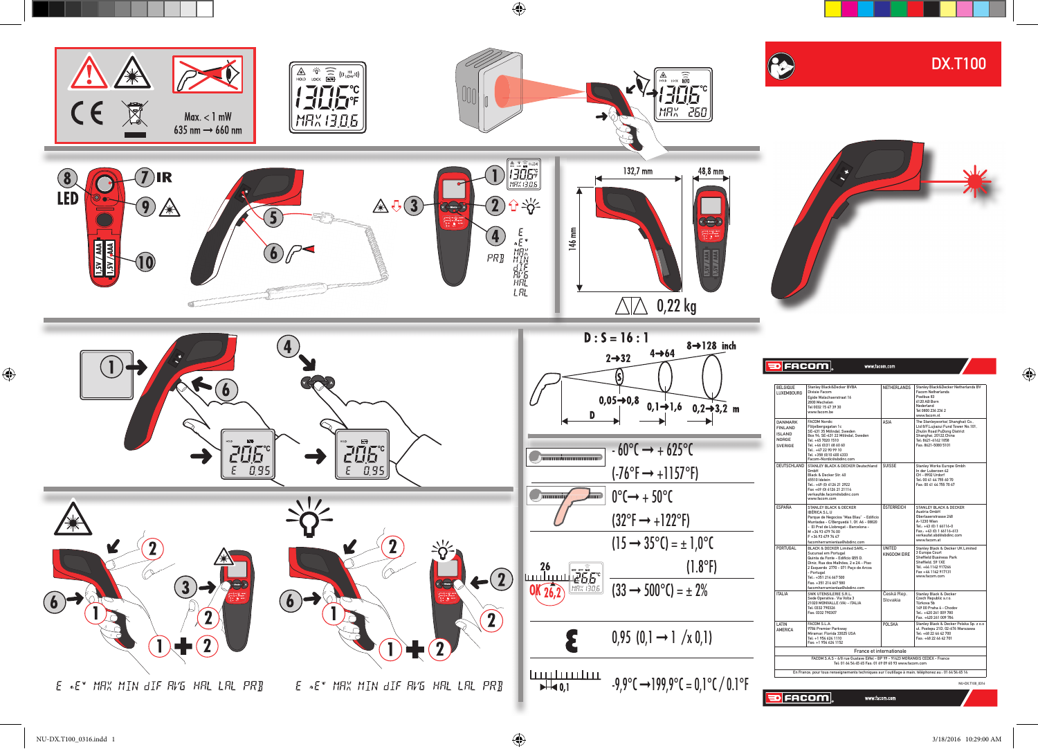